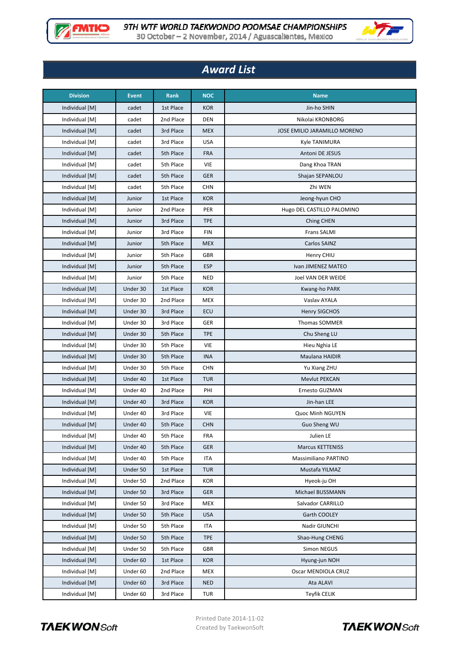



## *Award List*

| <b>Division</b> | <b>Event</b> | Rank      | <b>NOC</b> | <b>Name</b>                  |
|-----------------|--------------|-----------|------------|------------------------------|
| Individual [M]  | cadet        | 1st Place | <b>KOR</b> | Jin-ho SHIN                  |
| Individual [M]  | cadet        | 2nd Place | <b>DEN</b> | Nikolai KRONBORG             |
| Individual [M]  | cadet        | 3rd Place | <b>MEX</b> | JOSE EMILIO JARAMILLO MORENO |
| Individual [M]  | cadet        | 3rd Place | <b>USA</b> | Kyle TANIMURA                |
| Individual [M]  | cadet        | 5th Place | <b>FRA</b> | Antoni DE JESUS              |
| Individual [M]  | cadet        | 5th Place | VIE        | Dang Khoa TRAN               |
| Individual [M]  | cadet        | 5th Place | <b>GER</b> | Shajan SEPANLOU              |
| Individual [M]  | cadet        | 5th Place | <b>CHN</b> | Zhi WEN                      |
| Individual [M]  | Junior       | 1st Place | <b>KOR</b> | Jeong-hyun CHO               |
| Individual [M]  | Junior       | 2nd Place | PER        | Hugo DEL CASTILLO PALOMINO   |
| Individual [M]  | Junior       | 3rd Place | <b>TPE</b> | Ching CHEN                   |
| Individual [M]  | Junior       | 3rd Place | <b>FIN</b> | <b>Frans SALMI</b>           |
| Individual [M]  | Junior       | 5th Place | <b>MEX</b> | Carlos SAINZ                 |
| Individual [M]  | Junior       | 5th Place | GBR        | Henry CHIU                   |
| Individual [M]  | Junior       | 5th Place | <b>ESP</b> | Ivan JIMENEZ MATEO           |
| Individual [M]  | Junior       | 5th Place | <b>NED</b> | Joel VAN DER WEIDE           |
| Individual [M]  | Under 30     | 1st Place | <b>KOR</b> | Kwang-ho PARK                |
| Individual [M]  | Under 30     | 2nd Place | <b>MEX</b> | Vaslav AYALA                 |
| Individual [M]  | Under 30     | 3rd Place | ECU        | <b>Henry SIGCHOS</b>         |
| Individual [M]  | Under 30     | 3rd Place | GER        | <b>Thomas SOMMER</b>         |
| Individual [M]  | Under 30     | 5th Place | <b>TPE</b> | Chu Sheng LU                 |
| Individual [M]  | Under 30     | 5th Place | VIE        | Hieu Nghia LE                |
| Individual [M]  | Under 30     | 5th Place | <b>INA</b> | Maulana HAIDIR               |
| Individual [M]  | Under 30     | 5th Place | <b>CHN</b> | Yu Xiang ZHU                 |
| Individual [M]  | Under 40     | 1st Place | <b>TUR</b> | <b>Mevlut PEKCAN</b>         |
| Individual [M]  | Under 40     | 2nd Place | PHI        | Ernesto GUZMAN               |
| Individual [M]  | Under 40     | 3rd Place | <b>KOR</b> | Jin-han LEE                  |
| Individual [M]  | Under 40     | 3rd Place | VIE        | Quoc Minh NGUYEN             |
| Individual [M]  | Under 40     | 5th Place | <b>CHN</b> | Guo Sheng WU                 |
| Individual [M]  | Under 40     | 5th Place | FRA        | Julien LE                    |
| Individual [M]  | Under 40     | 5th Place | <b>GER</b> | <b>Marcus KETTENISS</b>      |
| Individual [M]  | Under 40     | 5th Place | ITA        | <b>Massimiliano PARTINO</b>  |
| Individual [M]  | Under 50     | 1st Place | <b>TUR</b> | Mustafa YILMAZ               |
| Individual [M]  | Under 50     | 2nd Place | KOR        | Hyeok-ju OH                  |
| Individual [M]  | Under 50     | 3rd Place | <b>GER</b> | Michael BUSSMANN             |
| Individual [M]  | Under 50     | 3rd Place | <b>MEX</b> | Salvador CARRILLO            |
| Individual [M]  | Under 50     | 5th Place | <b>USA</b> | Garth COOLEY                 |
| Individual [M]  | Under 50     | 5th Place | <b>ITA</b> | Nadir GIUNCHI                |
| Individual [M]  | Under 50     | 5th Place | <b>TPE</b> | Shao-Hung CHENG              |
| Individual [M]  | Under 50     | 5th Place | GBR        | Simon NEGUS                  |
| Individual [M]  | Under 60     | 1st Place | <b>KOR</b> | Hyung-jun NOH                |
| Individual [M]  | Under 60     | 2nd Place | MEX        | Oscar MENDIOLA CRUZ          |
| Individual [M]  | Under 60     | 3rd Place | <b>NED</b> | Ata ALAVI                    |
| Individual [M]  | Under 60     | 3rd Place | TUR        | <b>Teyfik CELIK</b>          |



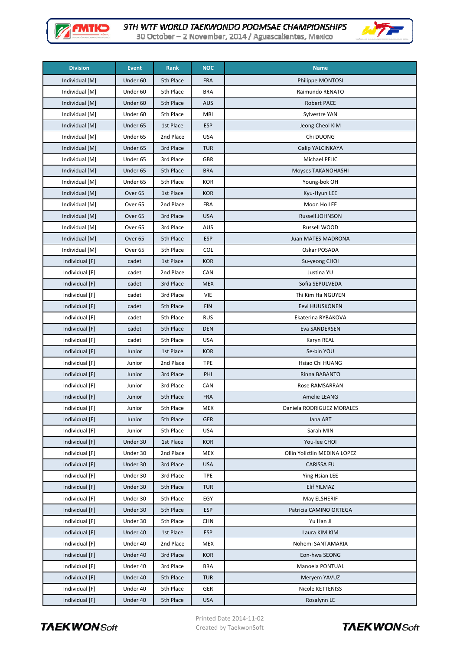



30 October - 2 November, 2014 / Aguascalientes, Mexico

| <b>Division</b> | <b>Event</b>        | Rank      | <b>NOC</b> | <b>Name</b>                  |
|-----------------|---------------------|-----------|------------|------------------------------|
| Individual [M]  | Under <sub>60</sub> | 5th Place | <b>FRA</b> | Philippe MONTOSI             |
| Individual [M]  | Under <sub>60</sub> | 5th Place | <b>BRA</b> | Raimundo RENATO              |
| Individual [M]  | Under 60            | 5th Place | <b>AUS</b> | <b>Robert PACE</b>           |
| Individual [M]  | Under 60            | 5th Place | <b>MRI</b> | Sylvestre YAN                |
| Individual [M]  | Under 65            | 1st Place | <b>ESP</b> | Jeong Cheol KIM              |
| Individual [M]  | Under 65            | 2nd Place | <b>USA</b> | Chi DUONG                    |
| Individual [M]  | Under 65            | 3rd Place | <b>TUR</b> | Galip YALCINKAYA             |
| Individual [M]  | Under 65            | 3rd Place | <b>GBR</b> | Michael PEJIC                |
| Individual [M]  | Under 65            | 5th Place | <b>BRA</b> | Moyses TAKANOHASHI           |
| Individual [M]  | Under 65            | 5th Place | <b>KOR</b> | Young-bok OH                 |
| Individual [M]  | Over <sub>65</sub>  | 1st Place | <b>KOR</b> | Kyu-Hyun LEE                 |
| Individual [M]  | Over <sub>65</sub>  | 2nd Place | <b>FRA</b> | Moon Ho LEE                  |
| Individual [M]  | Over <sub>65</sub>  | 3rd Place | <b>USA</b> | Russell JOHNSON              |
| Individual [M]  | Over <sub>65</sub>  | 3rd Place | AUS        | Russell WOOD                 |
| Individual [M]  | Over <sub>65</sub>  | 5th Place | <b>ESP</b> | Juan MATES MADRONA           |
| Individual [M]  | Over <sub>65</sub>  | 5th Place | COL        | Oskar POSADA                 |
| Individual [F]  | cadet               | 1st Place | <b>KOR</b> | Su-yeong CHOI                |
| Individual [F]  | cadet               | 2nd Place | <b>CAN</b> | Justina YU                   |
| Individual [F]  | cadet               | 3rd Place | <b>MEX</b> | Sofia SEPULVEDA              |
| Individual [F]  | cadet               | 3rd Place | VIE        | Thi Kim Ha NGUYEN            |
| Individual [F]  | cadet               | 5th Place | <b>FIN</b> | Eevi HUUSKONEN               |
| Individual [F]  | cadet               | 5th Place | <b>RUS</b> | Ekaterina RYBAKOVA           |
| Individual [F]  | cadet               | 5th Place | <b>DEN</b> | Eva SANDERSEN                |
| Individual [F]  | cadet               | 5th Place | <b>USA</b> | Karyn REAL                   |
| Individual [F]  | Junior              | 1st Place | <b>KOR</b> | Se-bin YOU                   |
| Individual [F]  | Junior              | 2nd Place | <b>TPE</b> | Hsiao Chi HUANG              |
| Individual [F]  | Junior              | 3rd Place | PHI        | Rinna BABANTO                |
| Individual [F]  | Junior              | 3rd Place | CAN        | <b>Rose RAMSARRAN</b>        |
| Individual [F]  | Junior              | 5th Place | <b>FRA</b> | Amelie LEANG                 |
| Individual [F]  | Junior              | 5th Place | <b>MEX</b> | Daniela RODRIGUEZ MORALES    |
| Individual [F]  | Junior              | 5th Place | <b>GER</b> | Jana ABT                     |
| Individual [F]  | Junior              | 5th Place | <b>USA</b> | Sarah MIN                    |
| Individual [F]  | Under 30            | 1st Place | <b>KOR</b> | You-lee CHOI                 |
| Individual [F]  | Under 30            | 2nd Place | MEX        | Ollin Yoliztlin MEDINA LOPEZ |
| Individual [F]  | Under 30            | 3rd Place | <b>USA</b> | CARISSA FU                   |
| Individual [F]  | Under 30            | 3rd Place | <b>TPE</b> | Ying Hsian LEE               |
| Individual [F]  | Under 30            | 5th Place | <b>TUR</b> | Elif YILMAZ                  |
| Individual [F]  | Under 30            | 5th Place | EGY        | May ELSHERIF                 |
| Individual [F]  | Under 30            | 5th Place | <b>ESP</b> | Patricia CAMINO ORTEGA       |
| Individual [F]  | Under 30            | 5th Place | <b>CHN</b> | Yu Han JI                    |
| Individual [F]  | Under 40            | 1st Place | <b>ESP</b> | Laura KIM KIM                |
| Individual [F]  | Under 40            | 2nd Place | MEX        | Nohemi SANTAMARIA            |
| Individual [F]  | Under 40            | 3rd Place | <b>KOR</b> | Eon-hwa SEONG                |
| Individual [F]  | Under 40            | 3rd Place | <b>BRA</b> | Manoela PONTUAL              |
| Individual [F]  | Under 40            | 5th Place | <b>TUR</b> | Meryem YAVUZ                 |
| Individual [F]  | Under 40            | 5th Place | GER        | Nicole KETTENISS             |
| Individual [F]  | Under 40            | 5th Place | <b>USA</b> | Rosalynn LE                  |



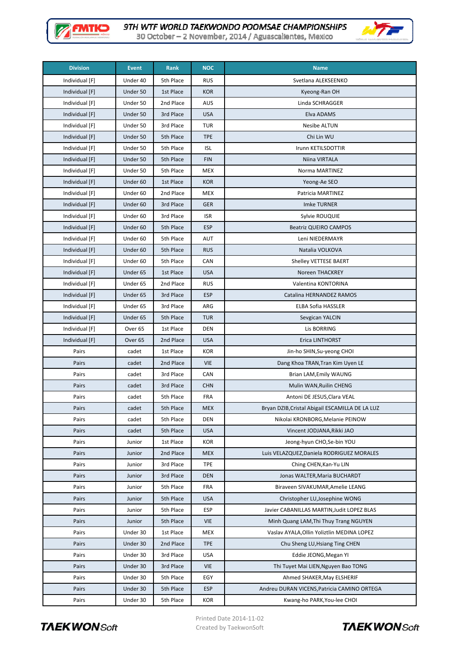



30 October - 2 November, 2014 / Aguascalientes, Mexico

| <b>Division</b> | <b>Event</b>       | Rank      | <b>NOC</b> | <b>Name</b>                                     |
|-----------------|--------------------|-----------|------------|-------------------------------------------------|
| Individual [F]  | Under 40           | 5th Place | <b>RUS</b> | Svetlana ALEKSEENKO                             |
| Individual [F]  | Under 50           | 1st Place | <b>KOR</b> | Kyeong-Ran OH                                   |
| Individual [F]  | Under 50           | 2nd Place | <b>AUS</b> | Linda SCHRAGGER                                 |
| Individual [F]  | Under 50           | 3rd Place | <b>USA</b> | Elva ADAMS                                      |
| Individual [F]  | Under 50           | 3rd Place | <b>TUR</b> | <b>Nesibe ALTUN</b>                             |
| Individual [F]  | Under 50           | 5th Place | <b>TPE</b> | Chi Lin WU                                      |
| Individual [F]  | Under 50           | 5th Place | <b>ISL</b> | Irunn KETILSDOTTIR                              |
| Individual [F]  | Under 50           | 5th Place | <b>FIN</b> | Niina VIRTALA                                   |
| Individual [F]  | Under 50           | 5th Place | <b>MEX</b> | Norma MARTINEZ                                  |
| Individual [F]  | Under 60           | 1st Place | <b>KOR</b> | Yeong-Ae SEO                                    |
| Individual [F]  | Under 60           | 2nd Place | <b>MEX</b> | Patricia MARTINEZ                               |
| Individual [F]  | Under 60           | 3rd Place | <b>GER</b> | <b>Imke TURNER</b>                              |
| Individual [F]  | Under 60           | 3rd Place | <b>ISR</b> | Sylvie ROUQUIE                                  |
| Individual [F]  | Under 60           | 5th Place | <b>ESP</b> | <b>Beatriz QUEIRO CAMPOS</b>                    |
| Individual [F]  | Under 60           | 5th Place | AUT        | Leni NIEDERMAYR                                 |
| Individual [F]  | Under 60           | 5th Place | <b>RUS</b> | Natalia VOLKOVA                                 |
| Individual [F]  | Under 60           | 5th Place | CAN        | Shelley VETTESE BAERT                           |
| Individual [F]  | Under 65           | 1st Place | <b>USA</b> | Noreen THACKREY                                 |
| Individual [F]  | Under 65           | 2nd Place | <b>RUS</b> | Valentina KONTORINA                             |
| Individual [F]  | Under 65           | 3rd Place | <b>ESP</b> | Catalina HERNANDEZ RAMOS                        |
| Individual [F]  | Under 65           | 3rd Place | ARG        | <b>ELBA Sofia HASSLER</b>                       |
| Individual [F]  | Under 65           | 5th Place | <b>TUR</b> | Sevgican YALCIN                                 |
| Individual [F]  | Over <sub>65</sub> | 1st Place | <b>DEN</b> | Lis BORRING                                     |
| Individual [F]  | Over <sub>65</sub> | 2nd Place | <b>USA</b> | Erica LINTHORST                                 |
| Pairs           | cadet              | 1st Place | KOR        | Jin-ho SHIN, Su-yeong CHOI                      |
| Pairs           | cadet              | 2nd Place | <b>VIE</b> | Dang Khoa TRAN, Tran Kim Uyen LE                |
| Pairs           | cadet              | 3rd Place | CAN        | Brian LAM, Emily WAUNG                          |
| Pairs           | cadet              | 3rd Place | <b>CHN</b> | Mulin WAN, Ruilin CHENG                         |
| Pairs           | cadet              | 5th Place | <b>FRA</b> | Antoni DE JESUS, Clara VEAL                     |
| Pairs           | cadet              | 5th Place | <b>MEX</b> | Bryan DZIB, Cristal Abigail ESCAMILLA DE LA LUZ |
| Pairs           | cadet              | 5th Place | <b>DEN</b> | Nikolai KRONBORG, Melanie PEINOW                |
| Pairs           | cadet              | 5th Place | <b>USA</b> | Vincent JODJANA, Rikki JAO                      |
| Pairs           | Junior             | 1st Place | KOR        | Jeong-hyun CHO, Se-bin YOU                      |
| Pairs           | Junior             | 2nd Place | <b>MEX</b> | Luis VELAZQUEZ, Daniela RODRIGUEZ MORALES       |
| Pairs           | Junior             | 3rd Place | <b>TPE</b> | Ching CHEN, Kan-Yu LIN                          |
| Pairs           | Junior             | 3rd Place | <b>DEN</b> | Jonas WALTER, Maria BUCHARDT                    |
| Pairs           | Junior             | 5th Place | <b>FRA</b> | Biraveen SIVAKUMAR, Amelie LEANG                |
| Pairs           | Junior             | 5th Place | <b>USA</b> | Christopher LU, Josephine WONG                  |
| Pairs           | Junior             | 5th Place | <b>ESP</b> | Javier CABANILLAS MARTIN, Judit LOPEZ BLAS      |
| Pairs           | Junior             | 5th Place | <b>VIE</b> | Minh Quang LAM, Thi Thuy Trang NGUYEN           |
| Pairs           | Under 30           | 1st Place | <b>MEX</b> | Vaslav AYALA, Ollin Yoliztlin MEDINA LOPEZ      |
| Pairs           | Under 30           | 2nd Place | <b>TPE</b> | Chu Sheng LU, Hsiang Ting CHEN                  |
| Pairs           | Under 30           | 3rd Place | USA        | Eddie JEONG, Megan YI                           |
| Pairs           | Under 30           | 3rd Place | <b>VIE</b> | Thi Tuyet Mai LIEN, Nguyen Bao TONG             |
| Pairs           | Under 30           | 5th Place | EGY        | Ahmed SHAKER, May ELSHERIF                      |
| Pairs           | Under 30           | 5th Place | <b>ESP</b> | Andreu DURAN VICENS, Patricia CAMINO ORTEGA     |
| Pairs           | Under 30           | 5th Place | KOR        | Kwang-ho PARK, You-lee CHOI                     |



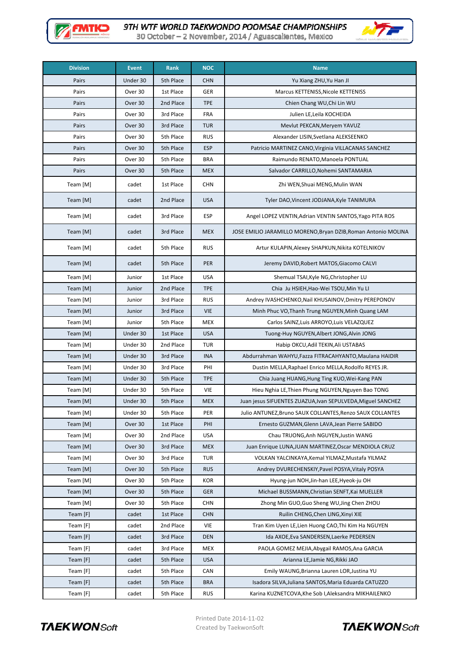

WT.

| 30 October - 2 November, 2014 / Aguascalientes, Mexico |  |
|--------------------------------------------------------|--|
|--------------------------------------------------------|--|

| <b>Division</b> | <b>Event</b> | Rank      | <b>NOC</b> | <b>Name</b>                                                    |
|-----------------|--------------|-----------|------------|----------------------------------------------------------------|
| Pairs           | Under 30     | 5th Place | <b>CHN</b> | Yu Xiang ZHU, Yu Han JI                                        |
| Pairs           | Over 30      | 1st Place | <b>GER</b> | Marcus KETTENISS, Nicole KETTENISS                             |
| Pairs           | Over 30      | 2nd Place | <b>TPE</b> | Chien Chang WU, Chi Lin WU                                     |
| Pairs           | Over 30      | 3rd Place | FRA        | Julien LE, Leila KOCHEIDA                                      |
| Pairs           | Over 30      | 3rd Place | <b>TUR</b> | Mevlut PEKCAN, Meryem YAVUZ                                    |
| Pairs           | Over 30      | 5th Place | <b>RUS</b> | Alexander LISIN, Svetlana ALEKSEENKO                           |
| Pairs           | Over 30      | 5th Place | <b>ESP</b> | Patricio MARTINEZ CANO, Virginia VILLACANAS SANCHEZ            |
| Pairs           | Over 30      | 5th Place | <b>BRA</b> | Raimundo RENATO, Manoela PONTUAL                               |
| Pairs           | Over 30      | 5th Place | <b>MEX</b> | Salvador CARRILLO, Nohemi SANTAMARIA                           |
| Team [M]        | cadet        | 1st Place | <b>CHN</b> | Zhi WEN, Shuai MENG, Mulin WAN                                 |
| Team [M]        | cadet        | 2nd Place | <b>USA</b> | Tyler DAO, Vincent JODJANA, Kyle TANIMURA                      |
| Team [M]        | cadet        | 3rd Place | <b>ESP</b> | Angel LOPEZ VENTIN, Adrian VENTIN SANTOS, Yago PITA ROS        |
| Team [M]        | cadet        | 3rd Place | <b>MEX</b> | JOSE EMILIO JARAMILLO MORENO, Bryan DZIB, Roman Antonio MOLINA |
| Team [M]        | cadet        | 5th Place | <b>RUS</b> | Artur KULAPIN, Alexey SHAPKUN, Nikita KOTELNIKOV               |
| Team [M]        | cadet        | 5th Place | PER        | Jeremy DAVID, Robert MATOS, Giacomo CALVI                      |
| Team [M]        | Junior       | 1st Place | <b>USA</b> | Shemual TSAI, Kyle NG, Christopher LU                          |
| Team [M]        | Junior       | 2nd Place | <b>TPE</b> | Chia Ju HSIEH, Hao-Wei TSOU, Min Yu LI                         |
| Team [M]        | Junior       | 3rd Place | <b>RUS</b> | Andrey IVASHCHENKO, Nail KHUSAINOV, Dmitry PEREPONOV           |
| Team [M]        | Junior       | 3rd Place | <b>VIE</b> | Minh Phuc VO, Thanh Trung NGUYEN, Minh Quang LAM               |
| Team [M]        | Junior       | 5th Place | <b>MEX</b> | Carlos SAINZ, Luis ARROYO, Luis VELAZQUEZ                      |
| Team [M]        | Under 30     | 1st Place | <b>USA</b> | Tuong-Huy NGUYEN, Albert JONG, Alvin JONG                      |
| Team [M]        | Under 30     | 2nd Place | <b>TUR</b> | Habip OKCU, Adil TEKIN, Ali USTABAS                            |
| Team [M]        | Under 30     | 3rd Place | <b>INA</b> | Abdurrahman WAHYU, Fazza FITRACAHYANTO, Maulana HAIDIR         |
| Team [M]        | Under 30     | 3rd Place | PHI        | Dustin MELLA, Raphael Enrico MELLA, Rodolfo REYES JR.          |
| Team [M]        | Under 30     | 5th Place | <b>TPE</b> | Chia Juang HUANG, Hung Ting KUO, Wei-Kang PAN                  |
| Team [M]        | Under 30     | 5th Place | VIE        | Hieu Nghia LE, Thien Phung NGUYEN, Nguyen Bao TONG             |
| Team [M]        | Under 30     | 5th Place | <b>MEX</b> | Juan jesus SIFUENTES ZUAZUA, Ivan SEPULVEDA, Miguel SANCHEZ    |
| Team [M]        | Under 30     | 5th Place | PER        | Julio ANTUNEZ, Bruno SAUX COLLANTES, Renzo SAUX COLLANTES      |
| Team [M]        | Over 30      | 1st Place | PHI        | Ernesto GUZMAN, Glenn LAVA, Jean Pierre SABIDO                 |
| Team [M]        | Over 30      | 2nd Place | <b>USA</b> | Chau TRUONG, Anh NGUYEN, Justin WANG                           |
| Team [M]        | Over 30      | 3rd Place | <b>MEX</b> | Juan Enrique LUNA, JUAN MARTINEZ, Oscar MENDIOLA CRUZ          |
| Team [M]        | Over 30      | 3rd Place | <b>TUR</b> | VOLKAN YALCINKAYA, Kemal YILMAZ, Mustafa YILMAZ                |
| Team [M]        | Over 30      | 5th Place | <b>RUS</b> | Andrey DVURECHENSKIY, Pavel POSYA, Vitaly POSYA                |
| Team [M]        | Over 30      | 5th Place | <b>KOR</b> | Hyung-jun NOH, Jin-han LEE, Hyeok-ju OH                        |
| Team [M]        | Over 30      | 5th Place | <b>GER</b> | Michael BUSSMANN, Christian SENFT, Kai MUELLER                 |
| Team [M]        | Over 30      | 5th Place | <b>CHN</b> | Zhong Min GUO, Guo Sheng WU, Jing Chen ZHOU                    |
| Team $[F]$      | cadet        | 1st Place | <b>CHN</b> | Ruilin CHENG, Chen LING, Xinyi XIE                             |
| Team [F]        | cadet        | 2nd Place | VIE        | Tran Kim Uyen LE, Lien Huong CAO, Thi Kim Ha NGUYEN            |
| Team [F]        | cadet        | 3rd Place | <b>DEN</b> | Ida AXOE, Eva SANDERSEN, Laerke PEDERSEN                       |
| Team [F]        | cadet        | 3rd Place | <b>MEX</b> | PAOLA GOMEZ MEJIA, Abygail RAMOS, Ana GARCIA                   |
| Team $[F]$      | cadet        | 5th Place | <b>USA</b> | Arianna LE, Jamie NG, Rikki JAO                                |
| Team [F]        | cadet        | 5th Place | <b>CAN</b> | Emily WAUNG, Brianna Lauren LOR, Justina YU                    |
| Team [F]        | cadet        | 5th Place | <b>BRA</b> | Isadora SILVA, Juliana SANTOS, Maria Eduarda CATUZZO           |
| Team [F]        | cadet        | 5th Place | <b>RUS</b> | Karina KUZNETCOVA, Khe Sob I, Aleksandra MIKHAILENKO           |



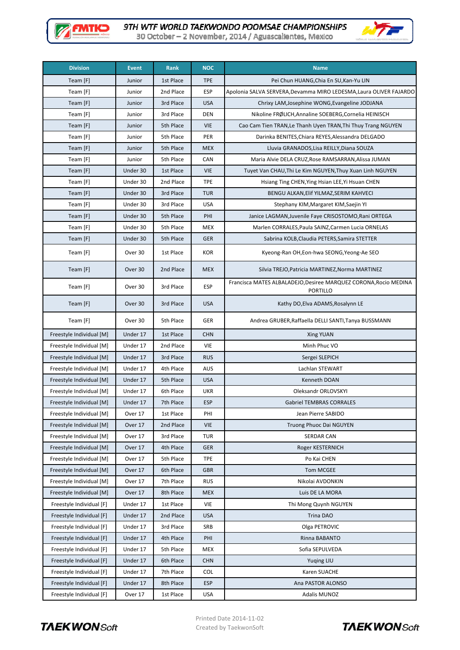



30 October - 2 November, 2014 / Aguascalientes, Mexico

| <b>Division</b>          | <b>Event</b> | Rank      | <b>NOC</b> | <b>Name</b>                                                                         |
|--------------------------|--------------|-----------|------------|-------------------------------------------------------------------------------------|
| Team [F]                 | Junior       | 1st Place | <b>TPE</b> | Pei Chun HUANG, Chia En SU, Kan-Yu LIN                                              |
| Team [F]                 | Junior       | 2nd Place | <b>ESP</b> | Apolonia SALVA SERVERA, Devamma MIRO LEDESMA, Laura OLIVER FAJARDO                  |
| Team [F]                 | Junior       | 3rd Place | <b>USA</b> | Chrixy LAM, Josephine WONG, Evangeline JODJANA                                      |
| Team [F]                 | Junior       | 3rd Place | DEN        | Nikoline FRØLICH, Annaline SOEBERG, Cornelia HEINISCH                               |
| Team [F]                 | Junior       | 5th Place | <b>VIE</b> | Cao Cam Tien TRAN, Le Thanh Uyen TRAN, Thi Thuy Trang NGUYEN                        |
| Team [F]                 | Junior       | 5th Place | PER        | Darinka BENITES, Chiara REYES, Alessandra DELGADO                                   |
| Team [F]                 | Junior       | 5th Place | <b>MEX</b> | Lluvia GRANADOS, Lisa REILLY, Diana SOUZA                                           |
| Team [F]                 | Junior       | 5th Place | CAN        | Maria Alvie DELA CRUZ, Rose RAMSARRAN, Alissa JUMAN                                 |
| Team [F]                 | Under 30     | 1st Place | <b>VIE</b> | Tuyet Van CHAU, Thi Le Kim NGUYEN, Thuy Xuan Linh NGUYEN                            |
| Team [F]                 | Under 30     | 2nd Place | <b>TPE</b> | Hsiang Ting CHEN, Ying Hsian LEE, Yi Hsuan CHEN                                     |
| Team [F]                 | Under 30     | 3rd Place | <b>TUR</b> | BENGU ALKAN, Elif YILMAZ, SERIM KAHVECI                                             |
| Team [F]                 | Under 30     | 3rd Place | <b>USA</b> | Stephany KIM, Margaret KIM, Saejin YI                                               |
| Team [F]                 | Under 30     | 5th Place | PHI        | Janice LAGMAN, Juvenile Faye CRISOSTOMO, Rani ORTEGA                                |
| Team [F]                 | Under 30     | 5th Place | <b>MEX</b> | Marlen CORRALES, Paula SAINZ, Carmen Lucia ORNELAS                                  |
| Team [F]                 | Under 30     | 5th Place | <b>GER</b> | Sabrina KOLB, Claudia PETERS, Samira STETTER                                        |
| Team [F]                 | Over 30      | 1st Place | KOR        | Kyeong-Ran OH, Eon-hwa SEONG, Yeong-Ae SEO                                          |
| Team [F]                 | Over 30      | 2nd Place | <b>MEX</b> | Silvia TREJO, Patricia MARTINEZ, Norma MARTINEZ                                     |
| Team [F]                 | Over 30      | 3rd Place | ESP        | Francisca MATES ALBALADEJO, Desiree MARQUEZ CORONA, Rocio MEDINA<br><b>PORTILLO</b> |
| Team [F]                 | Over 30      | 3rd Place | <b>USA</b> | Kathy DO, Elva ADAMS, Rosalynn LE                                                   |
| Team [F]                 | Over 30      | 5th Place | GER        | Andrea GRUBER, Raffaella DELLI SANTI, Tanya BUSSMANN                                |
| Freestyle Individual [M] | Under 17     | 1st Place | <b>CHN</b> | Xing YUAN                                                                           |
| Freestyle Individual [M] | Under 17     | 2nd Place | VIE        | Minh Phuc VO                                                                        |
| Freestyle Individual [M] | Under 17     | 3rd Place | <b>RUS</b> | Sergei SLEPICH                                                                      |
| Freestyle Individual [M] | Under 17     | 4th Place | AUS        | Lachlan STEWART                                                                     |
| Freestyle Individual [M] | Under 17     | 5th Place | <b>USA</b> | Kenneth DOAN                                                                        |
| Freestyle Individual [M] | Under 17     | 6th Place | UKR        | Oleksandr ORLOVSKYI                                                                 |
| Freestyle Individual [M] | Under 17     | 7th Place | <b>ESP</b> | <b>Gabriel TEMBRAS CORRALES</b>                                                     |
| Freestyle Individual [M] | Over 17      | 1st Place | PHI        | Jean Pierre SABIDO                                                                  |
| Freestyle Individual [M] | Over 17      | 2nd Place | VIE        | Truong Phuoc Dai NGUYEN                                                             |
| Freestyle Individual [M] | Over 17      | 3rd Place | TUR        | <b>SERDAR CAN</b>                                                                   |
| Freestyle Individual [M] | Over 17      | 4th Place | <b>GER</b> | Roger KESTERNICH                                                                    |
| Freestyle Individual [M] | Over 17      | 5th Place | TPE        | Po Kai CHEN                                                                         |
| Freestyle Individual [M] | Over 17      | 6th Place | <b>GBR</b> | Tom MCGEE                                                                           |
| Freestyle Individual [M] | Over 17      | 7th Place | <b>RUS</b> | Nikolai AVDONKIN                                                                    |
| Freestyle Individual [M] | Over 17      | 8th Place | <b>MEX</b> | Luis DE LA MORA                                                                     |
| Freestyle Individual [F] | Under 17     | 1st Place | VIE        | Thi Mong Quynh NGUYEN                                                               |
| Freestyle Individual [F] | Under 17     | 2nd Place | <b>USA</b> | Trina DAO                                                                           |
| Freestyle Individual [F] | Under 17     | 3rd Place | SRB        | Olga PETROVIC                                                                       |
| Freestyle Individual [F] | Under 17     | 4th Place | PHI        | Rinna BABANTO                                                                       |
| Freestyle Individual [F] | Under 17     | 5th Place | MEX        | Sofia SEPULVEDA                                                                     |
| Freestyle Individual [F] | Under 17     | 6th Place | <b>CHN</b> | <b>Yuging LIU</b>                                                                   |
| Freestyle Individual [F] | Under 17     | 7th Place | <b>COL</b> | Karen SUACHE                                                                        |
| Freestyle Individual [F] | Under 17     | 8th Place | <b>ESP</b> | Ana PASTOR ALONSO                                                                   |
| Freestyle Individual [F] | Over 17      | 1st Place | <b>USA</b> | <b>Adalis MUNOZ</b>                                                                 |